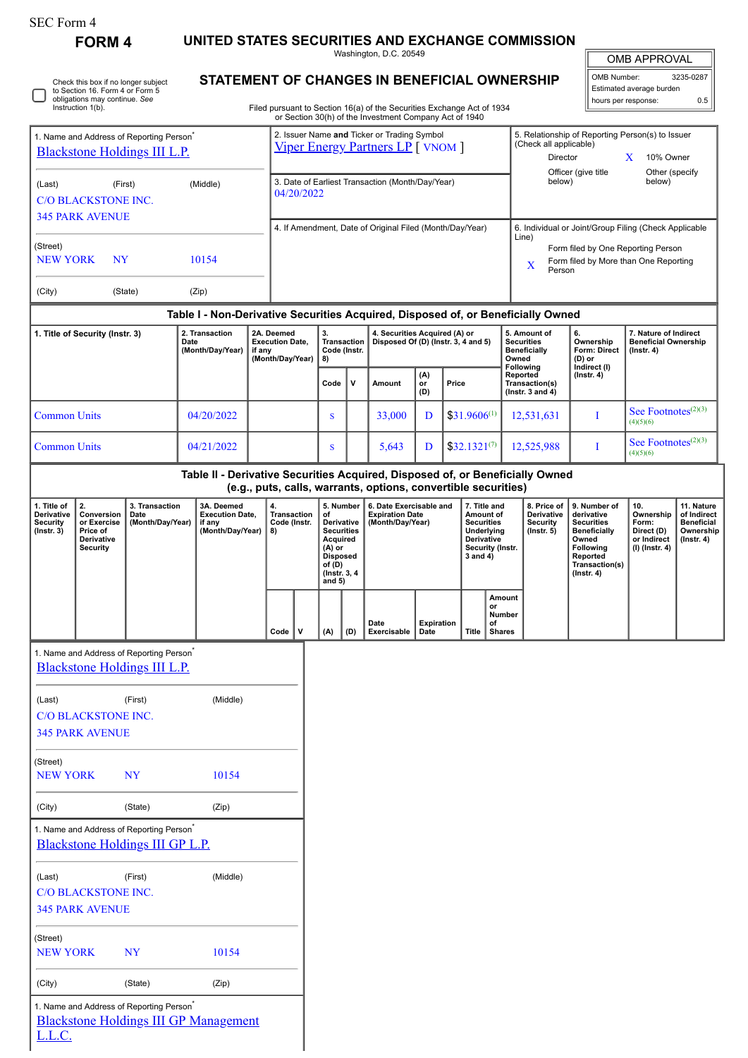| SEC Form 4 |  |
|------------|--|
|------------|--|

0

Check this box if no longer subject to Section 16. Form 4 or Form 5 obligations may continue. *See* Instruction 1(b).

**FORM 4 UNITED STATES SECURITIES AND EXCHANGE COMMISSION**

Washington, D.C. 20549 **STATEMENT OF CHANGES IN BENEFICIAL OWNERSHIP**

| <b>OMB APPROVAL</b>      |           |  |  |  |  |  |
|--------------------------|-----------|--|--|--|--|--|
| OMB Number:              | 3235-0287 |  |  |  |  |  |
| Estimated average burden |           |  |  |  |  |  |
| hours per response:      | ሰ 5       |  |  |  |  |  |

Filed pursuant to Section 16(a) of the Securities Exchange Act of 1934 or Section 30(h) of the Investment Company Act of 1940

| 1. Name and Address of Reporting Person <sup>*</sup><br><b>Blackstone Holdings III L.P.</b> |                                                                                                                            |                                                                                         |                                                                                  |                                                                    | 2. Issuer Name and Ticker or Trading Symbol<br><b>Viper Energy Partners LP</b> [ VNOM ] |                                         |                                                                                                                                    |                                                                      |                                                                       |                           |  | 5. Relationship of Reporting Person(s) to Issuer<br>(Check all applicable)<br>Director<br>X<br>10% Owner   |                                                    |                                                                  |                                                                          |                                                                                                                                                |                                                                          |                                                                           |
|---------------------------------------------------------------------------------------------|----------------------------------------------------------------------------------------------------------------------------|-----------------------------------------------------------------------------------------|----------------------------------------------------------------------------------|--------------------------------------------------------------------|-----------------------------------------------------------------------------------------|-----------------------------------------|------------------------------------------------------------------------------------------------------------------------------------|----------------------------------------------------------------------|-----------------------------------------------------------------------|---------------------------|--|------------------------------------------------------------------------------------------------------------|----------------------------------------------------|------------------------------------------------------------------|--------------------------------------------------------------------------|------------------------------------------------------------------------------------------------------------------------------------------------|--------------------------------------------------------------------------|---------------------------------------------------------------------------|
| (First)<br>(Middle)<br>(Last)<br><b>C/O BLACKSTONE INC.</b>                                 |                                                                                                                            |                                                                                         |                                                                                  |                                                                    | 3. Date of Earliest Transaction (Month/Day/Year)<br>04/20/2022                          |                                         |                                                                                                                                    |                                                                      |                                                                       |                           |  | Officer (give title<br>Other (specify<br>below)<br>below)                                                  |                                                    |                                                                  |                                                                          |                                                                                                                                                |                                                                          |                                                                           |
| <b>345 PARK AVENUE</b>                                                                      |                                                                                                                            |                                                                                         |                                                                                  |                                                                    | 4. If Amendment, Date of Original Filed (Month/Day/Year)                                |                                         |                                                                                                                                    |                                                                      |                                                                       |                           |  | 6. Individual or Joint/Group Filing (Check Applicable                                                      |                                                    |                                                                  |                                                                          |                                                                                                                                                |                                                                          |                                                                           |
| (Street)<br>10154<br><b>NEW YORK</b><br>NY                                                  |                                                                                                                            |                                                                                         |                                                                                  |                                                                    |                                                                                         |                                         |                                                                                                                                    |                                                                      |                                                                       |                           |  | Line)<br>Form filed by One Reporting Person<br>Form filed by More than One Reporting<br>X<br>Person        |                                                    |                                                                  |                                                                          |                                                                                                                                                |                                                                          |                                                                           |
| (City)                                                                                      |                                                                                                                            | (State)                                                                                 | (Zip)                                                                            |                                                                    |                                                                                         |                                         |                                                                                                                                    |                                                                      |                                                                       |                           |  |                                                                                                            |                                                    |                                                                  |                                                                          |                                                                                                                                                |                                                                          |                                                                           |
|                                                                                             |                                                                                                                            |                                                                                         | Table I - Non-Derivative Securities Acquired, Disposed of, or Beneficially Owned |                                                                    |                                                                                         |                                         |                                                                                                                                    |                                                                      |                                                                       |                           |  |                                                                                                            |                                                    |                                                                  |                                                                          |                                                                                                                                                |                                                                          |                                                                           |
| 1. Title of Security (Instr. 3)                                                             |                                                                                                                            | 2. Transaction<br>Date<br>(Month/Day/Year)                                              |                                                                                  | 2A. Deemed<br><b>Execution Date,</b><br>if any<br>(Month/Day/Year) |                                                                                         | 3.<br>Transaction<br>Code (Instr.<br>8) |                                                                                                                                    | 4. Securities Acquired (A) or<br>Disposed Of (D) (Instr. 3, 4 and 5) |                                                                       |                           |  | 5. Amount of<br><b>Securities</b><br><b>Beneficially</b><br>Owned<br>Following                             |                                                    | 6.<br>Ownership<br><b>Form: Direct</b><br>(D) or<br>Indirect (I) | 7. Nature of Indirect<br><b>Beneficial Ownership</b><br>$($ Instr. 4 $)$ |                                                                                                                                                |                                                                          |                                                                           |
|                                                                                             |                                                                                                                            |                                                                                         |                                                                                  |                                                                    |                                                                                         | Code                                    | v                                                                                                                                  | Amount                                                               | (A)<br>$\overline{or}$<br>Price<br>(D)                                |                           |  |                                                                                                            | Reported<br>Transaction(s)<br>( $lnstr. 3 and 4$ ) |                                                                  | $($ Instr. 4 $)$                                                         |                                                                                                                                                |                                                                          |                                                                           |
| <b>Common Units</b>                                                                         |                                                                                                                            |                                                                                         | 04/20/2022                                                                       |                                                                    |                                                                                         |                                         | ${\bf S}$                                                                                                                          |                                                                      | 33.000                                                                | D                         |  | $$31.9606^{(1)}$                                                                                           |                                                    |                                                                  | 12,531,631                                                               | I                                                                                                                                              | See Footnotes <sup>(2)(3)</sup><br>(4)(5)(6)                             |                                                                           |
| <b>Common Units</b>                                                                         |                                                                                                                            |                                                                                         | 04/21/2022                                                                       |                                                                    |                                                                                         |                                         | S                                                                                                                                  |                                                                      | 5,643                                                                 | D                         |  | $$32.1321^{(7)}$                                                                                           |                                                    |                                                                  | 12,525,988                                                               | I                                                                                                                                              | See Footnotes <sup>(2)(3)</sup><br>(4)(5)(6)                             |                                                                           |
|                                                                                             |                                                                                                                            |                                                                                         | Table II - Derivative Securities Acquired, Disposed of, or Beneficially Owned    |                                                                    |                                                                                         |                                         |                                                                                                                                    |                                                                      | (e.g., puts, calls, warrants, options, convertible securities)        |                           |  |                                                                                                            |                                                    |                                                                  |                                                                          |                                                                                                                                                |                                                                          |                                                                           |
| 1. Title of<br><b>Derivative</b><br><b>Security</b><br>$($ Instr. 3 $)$                     | 2.<br>3. Transaction<br>Conversion<br>Date<br>or Exercise<br>(Month/Day/Year)<br>Price of<br>Derivative<br><b>Security</b> |                                                                                         | 3A. Deemed<br><b>Execution Date,</b><br>if any<br>(Month/Day/Year)               |                                                                    | 4.<br><b>Transaction</b><br>Code (Instr.<br>8)                                          |                                         | 5. Number<br>οf<br>Derivative<br><b>Securities</b><br>Acquired<br>(A) or<br><b>Disposed</b><br>of (D)<br>(Instr. 3, 4)<br>and $5)$ |                                                                      | 6. Date Exercisable and<br><b>Expiration Date</b><br>(Month/Day/Year) |                           |  | 7. Title and<br>Amount of<br><b>Securities</b><br>Underlying<br>Derivative<br>Security (Instr.<br>3 and 4) |                                                    | 8. Price of<br>Derivative<br><b>Security</b><br>$($ Instr. 5 $)$ |                                                                          | 9. Number of<br>derivative<br><b>Securities</b><br><b>Beneficially</b><br>Owned<br>Following<br>Reported<br>Transaction(s)<br>$($ Instr. 4 $)$ | 10.<br>Ownership<br>Form:<br>Direct (D)<br>or Indirect<br>(I) (Instr. 4) | 11. Nature<br>of Indirect<br><b>Beneficial</b><br>Ownership<br>(Instr. 4) |
|                                                                                             |                                                                                                                            |                                                                                         |                                                                                  |                                                                    | Code                                                                                    | v                                       | (A)                                                                                                                                | (D)                                                                  | Date<br>Exercisable                                                   | <b>Expiration</b><br>Date |  | <b>Title</b>                                                                                               | Amount<br>or<br>Number<br>of<br><b>Shares</b>      |                                                                  |                                                                          |                                                                                                                                                |                                                                          |                                                                           |
|                                                                                             | 1. Name and Address of Reporting Person <sup>*</sup><br><b>Blackstone Holdings III L.P.</b>                                |                                                                                         |                                                                                  |                                                                    |                                                                                         |                                         |                                                                                                                                    |                                                                      |                                                                       |                           |  |                                                                                                            |                                                    |                                                                  |                                                                          |                                                                                                                                                |                                                                          |                                                                           |
| (Last)                                                                                      | <b>C/O BLACKSTONE INC.</b><br><b>345 PARK AVENUE</b>                                                                       | (First)                                                                                 | (Middle)                                                                         |                                                                    |                                                                                         |                                         |                                                                                                                                    |                                                                      |                                                                       |                           |  |                                                                                                            |                                                    |                                                                  |                                                                          |                                                                                                                                                |                                                                          |                                                                           |
| (Street)<br><b>NEW YORK</b>                                                                 |                                                                                                                            | <b>NY</b>                                                                               | 10154                                                                            |                                                                    |                                                                                         |                                         |                                                                                                                                    |                                                                      |                                                                       |                           |  |                                                                                                            |                                                    |                                                                  |                                                                          |                                                                                                                                                |                                                                          |                                                                           |
| (City)                                                                                      |                                                                                                                            | (State)                                                                                 | (Zip)                                                                            |                                                                    |                                                                                         |                                         |                                                                                                                                    |                                                                      |                                                                       |                           |  |                                                                                                            |                                                    |                                                                  |                                                                          |                                                                                                                                                |                                                                          |                                                                           |
|                                                                                             |                                                                                                                            | 1. Name and Address of Reporting Person <sup>*</sup><br>Blackstone Holdings III GP L.P. |                                                                                  |                                                                    |                                                                                         |                                         |                                                                                                                                    |                                                                      |                                                                       |                           |  |                                                                                                            |                                                    |                                                                  |                                                                          |                                                                                                                                                |                                                                          |                                                                           |
| (Last)                                                                                      | <b>C/O BLACKSTONE INC.</b><br><b>345 PARK AVENUE</b>                                                                       | (First)                                                                                 | (Middle)                                                                         |                                                                    |                                                                                         |                                         |                                                                                                                                    |                                                                      |                                                                       |                           |  |                                                                                                            |                                                    |                                                                  |                                                                          |                                                                                                                                                |                                                                          |                                                                           |
| (Street)<br><b>NEW YORK</b>                                                                 |                                                                                                                            | <b>NY</b>                                                                               | 10154                                                                            |                                                                    |                                                                                         |                                         |                                                                                                                                    |                                                                      |                                                                       |                           |  |                                                                                                            |                                                    |                                                                  |                                                                          |                                                                                                                                                |                                                                          |                                                                           |
| (City)                                                                                      |                                                                                                                            | (State)                                                                                 | (Zip)                                                                            |                                                                    |                                                                                         |                                         |                                                                                                                                    |                                                                      |                                                                       |                           |  |                                                                                                            |                                                    |                                                                  |                                                                          |                                                                                                                                                |                                                                          |                                                                           |
| L.L.C.                                                                                      |                                                                                                                            | 1. Name and Address of Reporting Person <sup>*</sup>                                    | <b>Blackstone Holdings III GP Management</b>                                     |                                                                    |                                                                                         |                                         |                                                                                                                                    |                                                                      |                                                                       |                           |  |                                                                                                            |                                                    |                                                                  |                                                                          |                                                                                                                                                |                                                                          |                                                                           |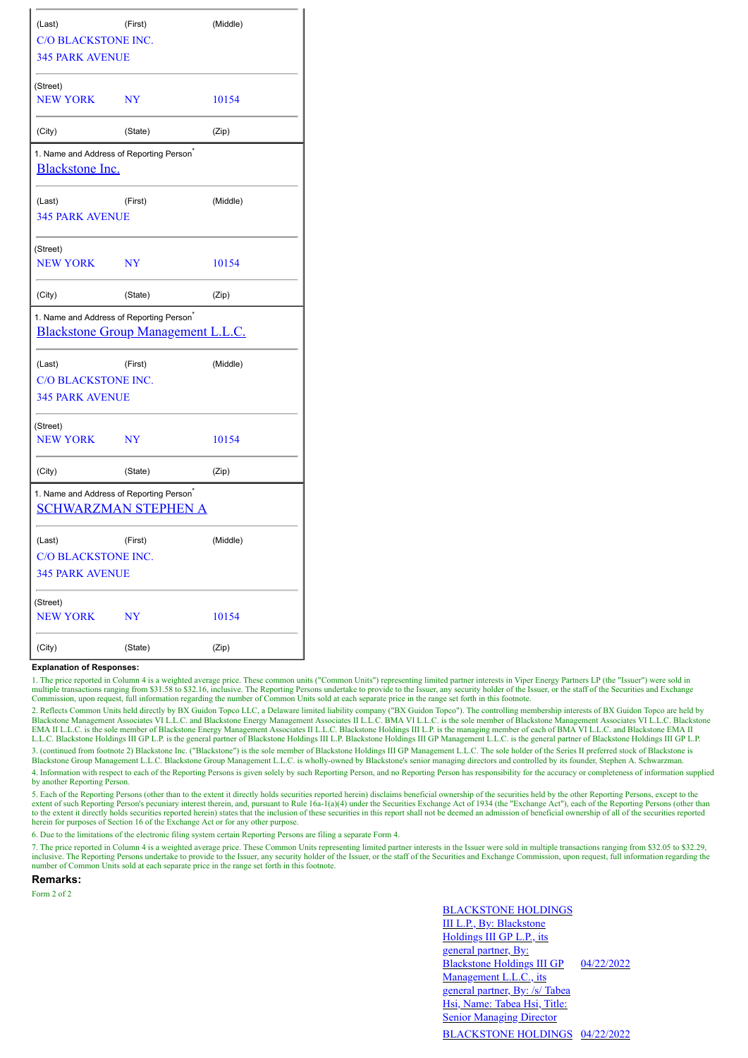| (Last)                                                                                     | (First)   |          |  |  |  |  |  |  |
|--------------------------------------------------------------------------------------------|-----------|----------|--|--|--|--|--|--|
| <b>C/O BLACKSTONE INC.</b>                                                                 |           |          |  |  |  |  |  |  |
| <b>345 PARK AVENUE</b>                                                                     |           |          |  |  |  |  |  |  |
| (Street)                                                                                   |           |          |  |  |  |  |  |  |
| <b>NEW YORK</b>                                                                            | <b>NY</b> | 10154    |  |  |  |  |  |  |
| (City)                                                                                     | (State)   | (Zip)    |  |  |  |  |  |  |
| 1. Name and Address of Reporting Person <sup>*</sup><br><b>Blackstone Inc.</b>             |           |          |  |  |  |  |  |  |
| (Last)                                                                                     | (First)   | (Middle) |  |  |  |  |  |  |
| <b>345 PARK AVENUE</b>                                                                     |           |          |  |  |  |  |  |  |
| (Street)                                                                                   |           |          |  |  |  |  |  |  |
| <b>NEW YORK</b>                                                                            | <b>NY</b> | 10154    |  |  |  |  |  |  |
| (City)                                                                                     | (State)   | (Zip)    |  |  |  |  |  |  |
| 1. Name and Address of Reporting Person <sup>*</sup><br>Blackstone Group Management L.L.C. |           |          |  |  |  |  |  |  |
| (Last)                                                                                     | (First)   | (Middle) |  |  |  |  |  |  |
| C/O BLACKSTONE INC.                                                                        |           |          |  |  |  |  |  |  |
| <b>345 PARK AVENUE</b>                                                                     |           |          |  |  |  |  |  |  |
| (Street)                                                                                   |           |          |  |  |  |  |  |  |
| <b>NEW YORK</b>                                                                            | <b>NY</b> | 10154    |  |  |  |  |  |  |
| (City)                                                                                     | (State)   | (Zip)    |  |  |  |  |  |  |
| 1. Name and Address of Reporting Person <sup>®</sup><br><b>SCHWARZMAN STEPHEN A</b>        |           |          |  |  |  |  |  |  |
| (Last)                                                                                     | (First)   | (Middle) |  |  |  |  |  |  |
| <b>C/O BLACKSTONE INC.</b>                                                                 |           |          |  |  |  |  |  |  |
| <b>345 PARK AVENUE</b>                                                                     |           |          |  |  |  |  |  |  |
| (Street)                                                                                   |           |          |  |  |  |  |  |  |
| <b>NEW YORK</b>                                                                            | <b>NY</b> | 10154    |  |  |  |  |  |  |
| (City)                                                                                     | (State)   | (Zip)    |  |  |  |  |  |  |

## **Explanation of Responses:**

1. The price reported in Column 4 is a weighted average price. These common units ("Common Units") representing limited partner interests in Viper Energy Partners LP (the "Issuer") were sold in multiple transactions ranging from \$31.58 to \$32.16, inclusive. The Reporting Persons undertake to provide to the Issuer, any security holder of the Issuer, or the staff of the Securities and Exchange Commission, upon requ

2. Reflects Common Units held directly by BX Guidon Topco LLC, a Delaware limited liability company ("BX Guidon Topco"). The controlling membership interests of BX Guidon Topco are held by<br>Blackstone Management Associates EMA II L.L.C. is the sole member of Blackstone Energy Management Associates II L.L.C. Blackstone Holdings III L.P. is the managing member of each of BMA VI L.L.C. and Blackstone EMA II L.L.C. Blackstone Holdings III GP L.P. is the general partner of Blackstone Holdings III L.P. Blackstone Holdings III GP Management L.L.C. is the general partner of Blackstone Holdings III GP L.P. 3. (continued from footnote 2) Blackstone Inc. ("Blackstone") is the sole member of Blackstone Holdings III GP Management L.L.C. The sole holder of the Series II preferred stock of Blackstone is

Blackstone Group Management L.L.C. Blackstone Group Management L.L.C. is wholly-owned by Blackstone's senior managing directors and controlled by its founder, Stephen A. Schwarzman.

4. Information with respect to each of the Reporting Persons is given solely by such Reporting Person, and no Reporting Person has responsibility for the accuracy or completeness of information supplied by another Reporting Person.

5. Each of the Reporting Persons (other than to the extent it directly holds securities reported herein) disclaims beneficial ownership of the securities held by the other Reporting Persons, except to the extent of such Reporting Person's pecuniary interest therein, and, pursuant to Rule 16a-1(a)(4) under the Securities Exchange Act of 1934 (the "Exchange Act"), each of the Reporting Persons (other than the Reporting Person to the extent it directly holds securities reported herein) states that the inclusion of these securities in this report shall not be deemed an admission of beneficial ownership of all of the securities reported herein for purposes of Section 16 of the Exchange Act or for any other purpose.

6. Due to the limitations of the electronic filing system certain Reporting Persons are filing a separate Form 4.

7. The price reported in Column 4 is a weighted average price. These Common Units representing limited partner interests in the Issuer were sold in multiple transactions ranging from \$32.05 to \$32.29, inclusive. The Reporting Persons undertake to provide to the Issuer, any security holder of the Issuer, or the staff of the Securities and Exchange Commission, upon request, full information regarding the number of Common Units sold at each separate price in the range set forth in this footnote.

**Remarks:**

Form 2 of 2

BLACKSTONE HOLDINGS III L.P., By: Blackstone Holdings III GP L.P., its general partner, By: Blackstone Holdings III GP Management L.L.C., its general partner, By: /s/ Tabea Hsi, Name: Tabea Hsi, Title: **Senior Managing Director** 04/22/2022 BLACKSTONE HOLDINGS 04/22/2022